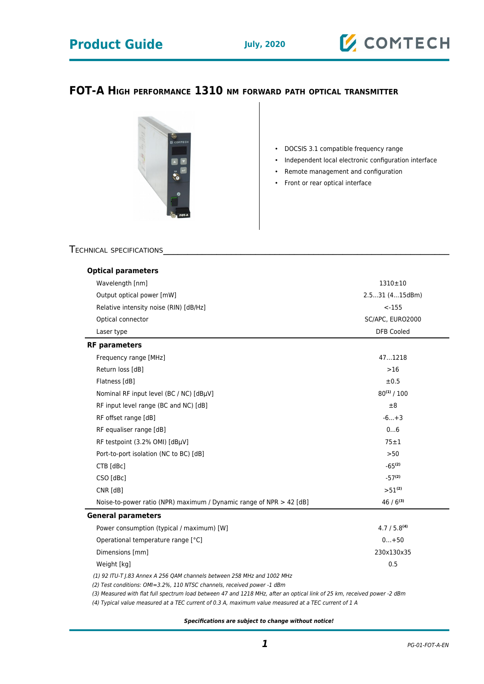# **Product Guide** July, 2020



### **FOT-A HIGH PERFORMANCE 1310 NM FORWARD PATH OPTICAL TRANSMITTER**



- DOCSIS 3.1 compatible frequency range
- Independent local electronic configuration interface
- Remote management and configuration
- Front or rear optical interface

### TECHNICAL SPECIFICATIONS

| <b>Optical parameters</b>                                                                                                 |                                       |
|---------------------------------------------------------------------------------------------------------------------------|---------------------------------------|
| Wavelength [nm]<br>Output optical power [mW]<br>Relative intensity noise (RIN) [dB/Hz]<br>Optical connector<br>Laser type | 1310±10                               |
|                                                                                                                           | 2.531 (415dBm)                        |
|                                                                                                                           | $< -155$                              |
|                                                                                                                           | SC/APC, EURO2000<br><b>DFB Cooled</b> |
|                                                                                                                           |                                       |
| Frequency range [MHz]                                                                                                     | 471218                                |
| Return loss [dB]                                                                                                          | $>16$                                 |
| Flatness [dB]                                                                                                             | ±0.5                                  |
| Nominal RF input level (BC / NC) [dBµV]                                                                                   | $80^{(1)}/100$                        |
| RF input level range (BC and NC) [dB]                                                                                     | ±8                                    |
| RF offset range [dB]                                                                                                      | $-6+3$                                |
| RF equaliser range [dB]                                                                                                   | 06                                    |
| RF testpoint (3.2% OMI) [dBµV]                                                                                            | $75 \pm 1$                            |
| Port-to-port isolation (NC to BC) [dB]                                                                                    | >50                                   |
| CTB [dBc]                                                                                                                 | $-65^{(2)}$                           |
| CSO [dBc]                                                                                                                 | $-57^{(2)}$                           |
| $CNR$ $[dB]$                                                                                                              | $>51^{(2)}$                           |
| Noise-to-power ratio (NPR) maximum / Dynamic range of NPR $>$ 42 [dB]                                                     | $46/6^{(3)}$                          |
| <b>General parameters</b>                                                                                                 |                                       |
| Power consumption (typical / maximum) [W]                                                                                 | 4.7 / 5.8 <sup>(4)</sup>              |
| Operational temperature range [°C]                                                                                        | $0+50$                                |
| Dimensions [mm]                                                                                                           | 230x130x35                            |
|                                                                                                                           |                                       |

(3) Measured with flat full spectrum load between 47 and 1218 MHz, after an optical link of 25 km, received power -2 dBm

(4) Typical value measured at a TEC current of 0.3 A, maximum value measured at a TEC current of 1 A

**Specifications are subject to change without notice!**